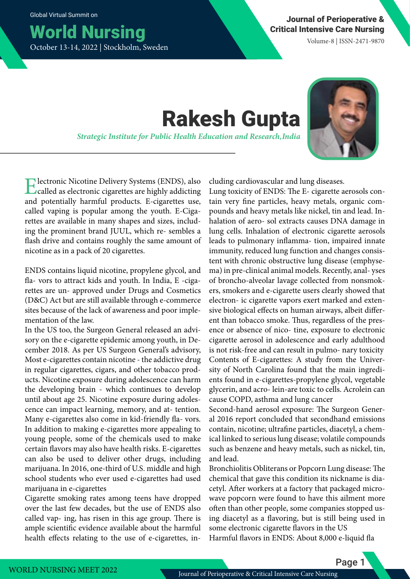## World Nursing October 13-14, 2022 | Stockholm, Sweden

Volume-8 | ISSN-2471-9870

# Rakesh Gupta

*Strategic Institute for Public Health Education and Research, India*



Electronic Nicotine Delivery Systems (ENDS), also called as electronic cigarettes are highly addicting and potentially harmful products. E-cigarettes use, called vaping is popular among the youth. E-Cigarettes are available in many shapes and sizes, including the prominent brand JUUL, which re- sembles a flash drive and contains roughly the same amount of nicotine as in a pack of 20 cigarettes.

ENDS contains liquid nicotine, propylene glycol, and fla- vors to attract kids and youth. In India, E -cigarettes are un- approved under Drugs and Cosmetics (D&C) Act but are still available through e-commerce sites because of the lack of awareness and poor implementation of the law.

In the US too, the Surgeon General released an advisory on the e-cigarette epidemic among youth, in December 2018. As per US Surgeon General's advisory, Most e-cigarettes contain nicotine - the addictive drug in regular cigarettes, cigars, and other tobacco products. Nicotine exposure during adolescence can harm the developing brain - which continues to develop until about age 25. Nicotine exposure during adolescence can impact learning, memory, and at- tention. Many e-cigarettes also come in kid-friendly fla- vors. In addition to making e-cigarettes more appealing to young people, some of the chemicals used to make certain flavors may also have health risks. E-cigarettes can also be used to deliver other drugs, including marijuana. In 2016, one-third of U.S. middle and high school students who ever used e-cigarettes had used marijuana in e-cigarettes

Cigarette smoking rates among teens have dropped over the last few decades, but the use of ENDS also called vap- ing, has risen in this age group. There is ample scientific evidence available about the harmful health effects relating to the use of e-cigarettes, including cardiovascular and lung diseases.

Lung toxicity of ENDS: The E- cigarette aerosols contain very fine particles, heavy metals, organic compounds and heavy metals like nickel, tin and lead. Inhalation of aero- sol extracts causes DNA damage in lung cells. Inhalation of electronic cigarette aerosols leads to pulmonary inflamma- tion, impaired innate immunity, reduced lung function and changes consistent with chronic obstructive lung disease (emphysema) in pre-clinical animal models. Recently, anal- yses of broncho-alveolar lavage collected from nonsmokers, smokers and e-cigarette users clearly showed that electron- ic cigarette vapors exert marked and extensive biological effects on human airways, albeit different than tobacco smoke. Thus, regardless of the presence or absence of nico- tine, exposure to electronic cigarette aerosol in adolescence and early adulthood is not risk-free and can result in pulmo- nary toxicity Contents of E-cigarettes: A study from the University of North Carolina found that the main ingredients found in e-cigarettes-propylene glycol, vegetable glycerin, and acro- lein-are toxic to cells. Acrolein can cause COPD, asthma and lung cancer

Second-hand aerosol exposure: The Surgeon General 2016 report concluded that secondhand emissions contain, nicotine; ultrafine particles, diacetyl, a chemical linked to serious lung disease; volatile compounds such as benzene and heavy metals, such as nickel, tin, and lead.

Bronchiolitis Obliterans or Popcorn Lung disease: The chemical that gave this condition its nickname is diacetyl. After workers at a factory that packaged microwave popcorn were found to have this ailment more often than other people, some companies stopped using diacetyl as a flavoring, but is still being used in some electronic cigarette flavors in the US Harmful flavors in ENDS: About 8,000 e-liquid fla

Page 1

WORLD NURSING MEET 2022 Journal of Perioperative & Critical Intensive Care Nursing